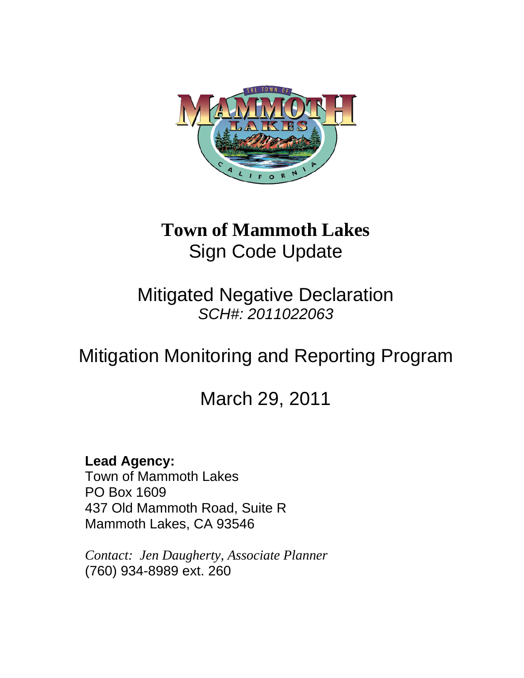

### **Town of Mammoth Lakes**  Sign Code Update

Mitigated Negative Declaration *SCH#: 2011022063* 

# Mitigation Monitoring and Reporting Program

## March 29, 2011

#### **Lead Agency:**

Town of Mammoth Lakes PO Box 1609 437 Old Mammoth Road, Suite R Mammoth Lakes, CA 93546

*Contact: Jen Daugherty, Associate Planner*  (760) 934-8989 ext. 260